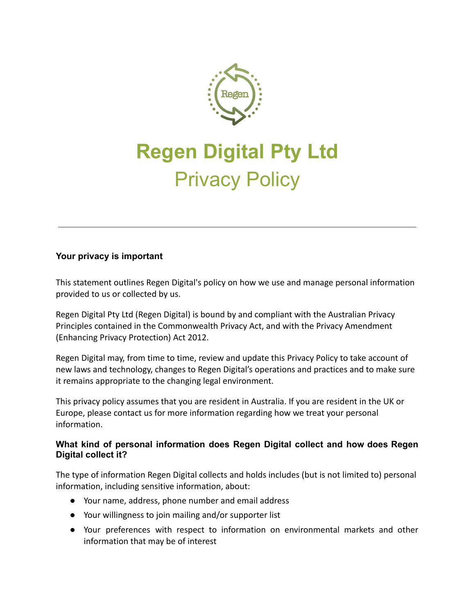

# **Regen Digital Pty Ltd** Privacy Policy

# **Your privacy is important**

This statement outlines Regen Digital's policy on how we use and manage personal information provided to us or collected by us.

Regen Digital Pty Ltd (Regen Digital) is bound by and compliant with the Australian Privacy Principles contained in the Commonwealth Privacy Act, and with the Privacy Amendment (Enhancing Privacy Protection) Act 2012.

Regen Digital may, from time to time, review and update this Privacy Policy to take account of new laws and technology, changes to Regen Digital's operations and practices and to make sure it remains appropriate to the changing legal environment.

This privacy policy assumes that you are resident in Australia. If you are resident in the UK or Europe, please contact us for more information regarding how we treat your personal information.

## **What kind of personal information does Regen Digital collect and how does Regen Digital collect it?**

The type of information Regen Digital collects and holds includes (but is not limited to) personal information, including sensitive information, about:

- Your name, address, phone number and email address
- Your willingness to join mailing and/or supporter list
- Your preferences with respect to information on environmental markets and other information that may be of interest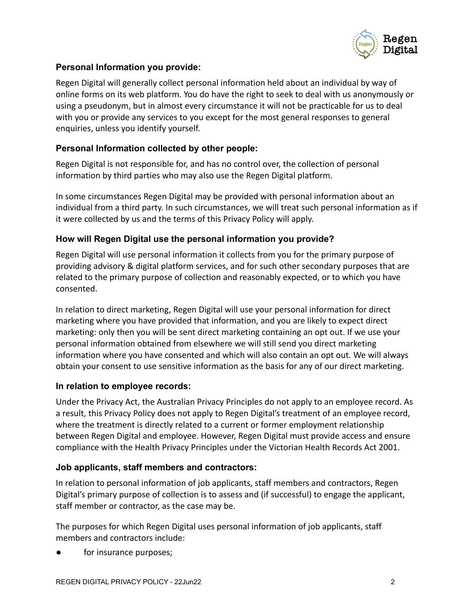

## **Personal Information you provide:**

Regen Digital will generally collect personal information held about an individual by way of online forms on its web platform. You do have the right to seek to deal with us anonymously or using a pseudonym, but in almost every circumstance it will not be practicable for us to deal with you or provide any services to you except for the most general responses to general enquiries, unless you identify yourself.

## **Personal Information collected by other people:**

Regen Digital is not responsible for, and has no control over, the collection of personal information by third parties who may also use the Regen Digital platform.

In some circumstances Regen Digital may be provided with personal information about an individual from a third party. In such circumstances, we will treat such personal information as if it were collected by us and the terms of this Privacy Policy will apply.

# **How will Regen Digital use the personal information you provide?**

Regen Digital will use personal information it collects from you for the primary purpose of providing advisory & digital platform services, and for such other secondary purposes that are related to the primary purpose of collection and reasonably expected, or to which you have consented.

In relation to direct marketing, Regen Digital will use your personal information for direct marketing where you have provided that information, and you are likely to expect direct marketing: only then you will be sent direct marketing containing an opt out. If we use your personal information obtained from elsewhere we will still send you direct marketing information where you have consented and which will also contain an opt out. We will always obtain your consent to use sensitive information as the basis for any of our direct marketing.

## **In relation to employee records:**

Under the Privacy Act, the Australian Privacy Principles do not apply to an employee record. As a result, this Privacy Policy does not apply to Regen Digital's treatment of an employee record, where the treatment is directly related to a current or former employment relationship between Regen Digital and employee. However, Regen Digital must provide access and ensure compliance with the Health Privacy Principles under the Victorian Health Records Act 2001.

## **Job applicants, staff members and contractors:**

In relation to personal information of job applicants, staff members and contractors, Regen Digital's primary purpose of collection is to assess and (if successful) to engage the applicant, staff member or contractor, as the case may be.

The purposes for which Regen Digital uses personal information of job applicants, staff members and contractors include:

for insurance purposes;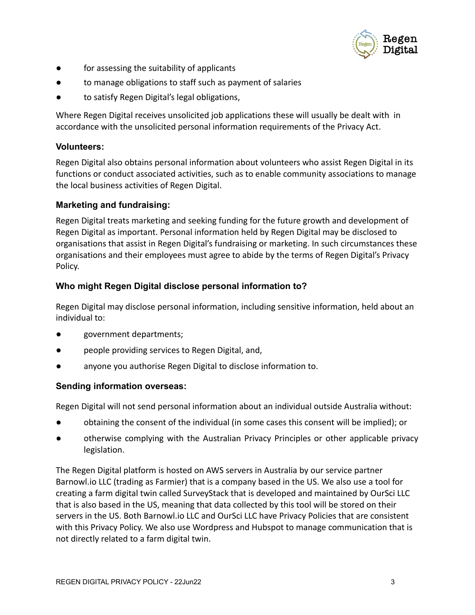

- for assessing the suitability of applicants
- to manage obligations to staff such as payment of salaries
- to satisfy Regen Digital's legal obligations,

Where Regen Digital receives unsolicited job applications these will usually be dealt with in accordance with the unsolicited personal information requirements of the Privacy Act.

#### **Volunteers:**

Regen Digital also obtains personal information about volunteers who assist Regen Digital in its functions or conduct associated activities, such as to enable community associations to manage the local business activities of Regen Digital.

## **Marketing and fundraising:**

Regen Digital treats marketing and seeking funding for the future growth and development of Regen Digital as important. Personal information held by Regen Digital may be disclosed to organisations that assist in Regen Digital's fundraising or marketing. In such circumstances these organisations and their employees must agree to abide by the terms of Regen Digital's Privacy Policy.

## **Who might Regen Digital disclose personal information to?**

Regen Digital may disclose personal information, including sensitive information, held about an individual to:

- government departments;
- people providing services to Regen Digital, and,
- anyone you authorise Regen Digital to disclose information to.

## **Sending information overseas:**

Regen Digital will not send personal information about an individual outside Australia without:

- obtaining the consent of the individual (in some cases this consent will be implied); or
- otherwise complying with the Australian Privacy Principles or other applicable privacy legislation.

The Regen Digital platform is hosted on AWS servers in Australia by our service partner Barnowl.io LLC (trading as Farmier) that is a company based in the US. We also use a tool for creating a farm digital twin called SurveyStack that is developed and maintained by OurSci LLC that is also based in the US, meaning that data collected by this tool will be stored on their servers in the US. Both Barnowl.io LLC and OurSci LLC have Privacy Policies that are consistent with this Privacy Policy. We also use Wordpress and Hubspot to manage communication that is not directly related to a farm digital twin.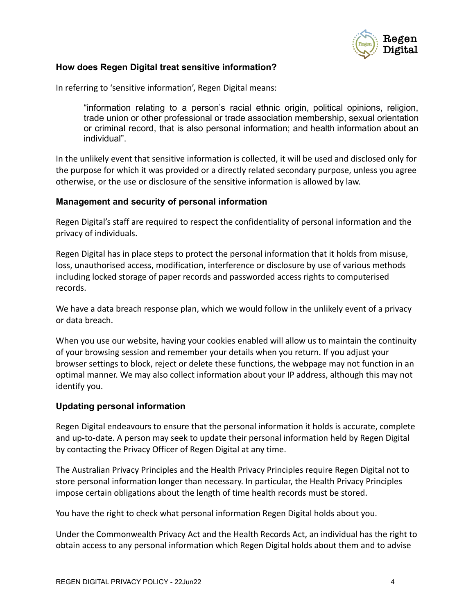

#### **How does Regen Digital treat sensitive information?**

In referring to 'sensitive information', Regen Digital means:

"information relating to a person's racial ethnic origin, political opinions, religion, trade union or other professional or trade association membership, sexual orientation or criminal record, that is also personal information; and health information about an individual".

In the unlikely event that sensitive information is collected, it will be used and disclosed only for the purpose for which it was provided or a directly related secondary purpose, unless you agree otherwise, or the use or disclosure of the sensitive information is allowed by law.

#### **Management and security of personal information**

Regen Digital's staff are required to respect the confidentiality of personal information and the privacy of individuals.

Regen Digital has in place steps to protect the personal information that it holds from misuse, loss, unauthorised access, modification, interference or disclosure by use of various methods including locked storage of paper records and passworded access rights to computerised records.

We have a data breach response plan, which we would follow in the unlikely event of a privacy or data breach.

When you use our website, having your cookies enabled will allow us to maintain the continuity of your browsing session and remember your details when you return. If you adjust your browser settings to block, reject or delete these functions, the webpage may not function in an optimal manner. We may also collect information about your IP address, although this may not identify you.

#### **Updating personal information**

Regen Digital endeavours to ensure that the personal information it holds is accurate, complete and up-to-date. A person may seek to update their personal information held by Regen Digital by contacting the Privacy Officer of Regen Digital at any time.

The Australian Privacy Principles and the Health Privacy Principles require Regen Digital not to store personal information longer than necessary. In particular, the Health Privacy Principles impose certain obligations about the length of time health records must be stored.

You have the right to check what personal information Regen Digital holds about you.

Under the Commonwealth Privacy Act and the Health Records Act, an individual has the right to obtain access to any personal information which Regen Digital holds about them and to advise